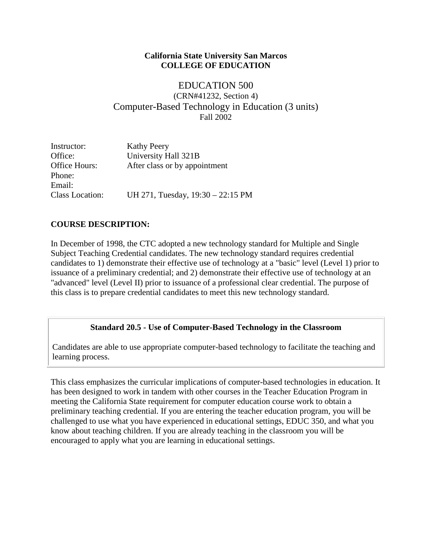#### **California State University San Marcos COLLEGE OF EDUCATION**

EDUCATION 500 (CRN#41232, Section 4) Computer-Based Technology in Education (3 units) Fall 2002

| Instructor:            | <b>Kathy Peery</b><br>University Hall 321B |  |
|------------------------|--------------------------------------------|--|
| Office:                |                                            |  |
| Office Hours:          | After class or by appointment              |  |
| Phone:                 |                                            |  |
| Email:                 |                                            |  |
| <b>Class Location:</b> | UH 271, Tuesday, 19:30 – 22:15 PM          |  |

## **COURSE DESCRIPTION:**

In December of 1998, the CTC adopted a new technology standard for Multiple and Single Subject Teaching Credential candidates. The new technology standard requires credential candidates to 1) demonstrate their effective use of technology at a "basic" level (Level 1) prior to issuance of a preliminary credential; and 2) demonstrate their effective use of technology at an "advanced" level (Level II) prior to issuance of a professional clear credential. The purpose of this class is to prepare credential candidates to meet this new technology standard.

## **Standard 20.5 - Use of Computer-Based Technology in the Classroom**

Candidates are able to use appropriate computer-based technology to facilitate the teaching and learning process.

This class emphasizes the curricular implications of computer-based technologies in education. It has been designed to work in tandem with other courses in the Teacher Education Program in meeting the California State requirement for computer education course work to obtain a preliminary teaching credential. If you are entering the teacher education program, you will be challenged to use what you have experienced in educational settings, EDUC 350, and what you know about teaching children. If you are already teaching in the classroom you will be encouraged to apply what you are learning in educational settings.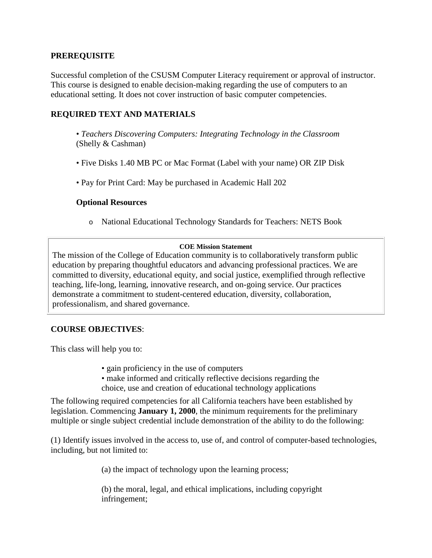#### **PREREQUISITE**

Successful completion of the CSUSM Computer Literacy requirement or approval of instructor. This course is designed to enable decision-making regarding the use of computers to an educational setting. It does not cover instruction of basic computer competencies.

## **REQUIRED TEXT AND MATERIALS**

- *Teachers Discovering Computers: Integrating Technology in the Classroom*  (Shelly & Cashman)
- Five Disks 1.40 MB PC or Mac Format (Label with your name) OR ZIP Disk
- Pay for Print Card: May be purchased in Academic Hall 202

#### **Optional Resources**

o National Educational Technology Standards for Teachers: NETS Book

#### **COE Mission Statement**

The mission of the College of Education community is to collaboratively transform public education by preparing thoughtful educators and advancing professional practices. We are committed to diversity, educational equity, and social justice, exemplified through reflective teaching, life-long, learning, innovative research, and on-going service. Our practices demonstrate a commitment to student-centered education, diversity, collaboration, professionalism, and shared governance.

## **COURSE OBJECTIVES**:

This class will help you to:

- gain proficiency in the use of computers
- make informed and critically reflective decisions regarding the choice, use and creation of educational technology applications

The following required competencies for all California teachers have been established by legislation. Commencing **January 1, 2000**, the minimum requirements for the preliminary multiple or single subject credential include demonstration of the ability to do the following:

(1) Identify issues involved in the access to, use of, and control of computer-based technologies, including, but not limited to:

(a) the impact of technology upon the learning process;

(b) the moral, legal, and ethical implications, including copyright infringement;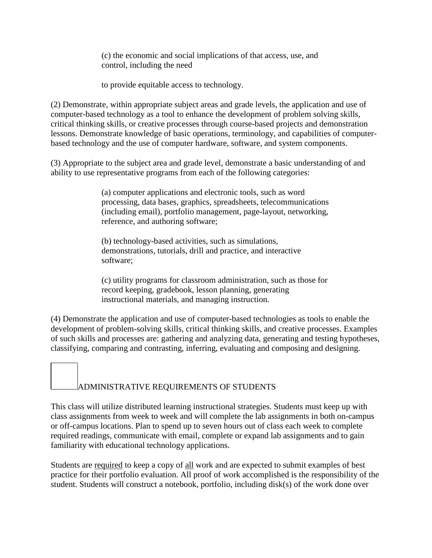(c) the economic and social implications of that access, use, and control, including the need

to provide equitable access to technology.

(2) Demonstrate, within appropriate subject areas and grade levels, the application and use of computer-based technology as a tool to enhance the development of problem solving skills, critical thinking skills, or creative processes through course-based projects and demonstration lessons. Demonstrate knowledge of basic operations, terminology, and capabilities of computerbased technology and the use of computer hardware, software, and system components.

(3) Appropriate to the subject area and grade level, demonstrate a basic understanding of and ability to use representative programs from each of the following categories:

> (a) computer applications and electronic tools, such as word processing, data bases, graphics, spreadsheets, telecommunications (including email), portfolio management, page-layout, networking, reference, and authoring software;

(b) technology-based activities, such as simulations, demonstrations, tutorials, drill and practice, and interactive software;

(c) utility programs for classroom administration, such as those for record keeping, gradebook, lesson planning, generating instructional materials, and managing instruction.

(4) Demonstrate the application and use of computer-based technologies as tools to enable the development of problem-solving skills, critical thinking skills, and creative processes. Examples of such skills and processes are: gathering and analyzing data, generating and testing hypotheses, classifying, comparing and contrasting, inferring, evaluating and composing and designing.

# ADMINISTRATIVE REQUIREMENTS OF STUDENTS

This class will utilize distributed learning instructional strategies. Students must keep up with class assignments from week to week and will complete the lab assignments in both on-campus or off-campus locations. Plan to spend up to seven hours out of class each week to complete required readings, communicate with email, complete or expand lab assignments and to gain familiarity with educational technology applications.

Students are required to keep a copy of all work and are expected to submit examples of best practice for their portfolio evaluation. All proof of work accomplished is the responsibility of the student. Students will construct a notebook, portfolio, including disk(s) of the work done over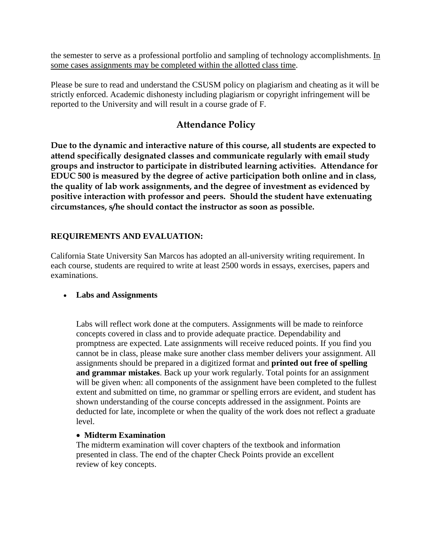the semester to serve as a professional portfolio and sampling of technology accomplishments. In some cases assignments may be completed within the allotted class time.

Please be sure to read and understand the CSUSM policy on plagiarism and cheating as it will be strictly enforced. Academic dishonesty including plagiarism or copyright infringement will be reported to the University and will result in a course grade of F.

## **Attendance Policy**

**Due to the dynamic and interactive nature of this course, all students are expected to attend specifically designated classes and communicate regularly with email study groups and instructor to participate in distributed learning activities. Attendance for EDUC 500 is measured by the degree of active participation both online and in class, the quality of lab work assignments, and the degree of investment as evidenced by positive interaction with professor and peers. Should the student have extenuating circumstances, s/he should contact the instructor as soon as possible.**

## **REQUIREMENTS AND EVALUATION:**

California State University San Marcos has adopted an all-university writing requirement. In each course, students are required to write at least 2500 words in essays, exercises, papers and examinations.

## • **Labs and Assignments**

Labs will reflect work done at the computers. Assignments will be made to reinforce concepts covered in class and to provide adequate practice. Dependability and promptness are expected. Late assignments will receive reduced points. If you find you cannot be in class, please make sure another class member delivers your assignment. All assignments should be prepared in a digitized format and **printed out free of spelling and grammar mistakes**. Back up your work regularly. Total points for an assignment will be given when: all components of the assignment have been completed to the fullest extent and submitted on time, no grammar or spelling errors are evident, and student has shown understanding of the course concepts addressed in the assignment. Points are deducted for late, incomplete or when the quality of the work does not reflect a graduate level.

## • **Midterm Examination**

The midterm examination will cover chapters of the textbook and information presented in class. The end of the chapter Check Points provide an excellent review of key concepts.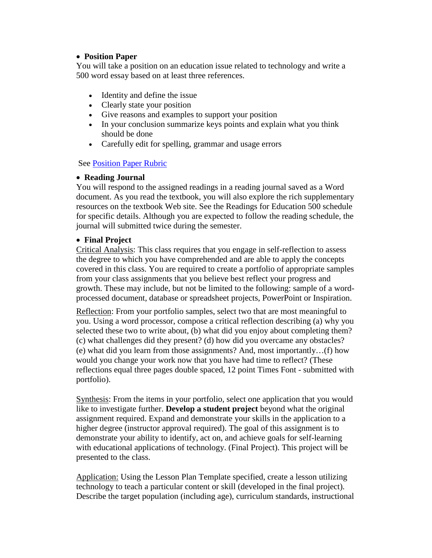#### • **Position Paper**

You will take a position on an education issue related to technology and write a 500 word essay based on at least three references.

- Identity and define the issue
- Clearly state your position
- Give reasons and examples to support your position
- In your conclusion summarize keys points and explain what you think should be done
- Carefully edit for spelling, grammar and usage errors

#### See [Position Paper Rubric](http://rubistar.4teachers.org/view_rubric.php3?id=353605)

#### • **Reading Journal**

You will respond to the assigned readings in a reading journal saved as a Word document. As you read the textbook, you will also explore the rich supplementary resources on the textbook Web site. See the Readings for Education 500 schedule for specific details. Although you are expected to follow the reading schedule, the journal will submitted twice during the semester.

#### • **Final Project**

Critical Analysis: This class requires that you engage in self-reflection to assess the degree to which you have comprehended and are able to apply the concepts covered in this class. You are required to create a portfolio of appropriate samples from your class assignments that you believe best reflect your progress and growth. These may include, but not be limited to the following: sample of a wordprocessed document, database or spreadsheet projects, PowerPoint or Inspiration.

Reflection: From your portfolio samples, select two that are most meaningful to you. Using a word processor, compose a critical reflection describing (a) why you selected these two to write about, (b) what did you enjoy about completing them? (c) what challenges did they present? (d) how did you overcame any obstacles? (e) what did you learn from those assignments? And, most importantly…(f) how would you change your work now that you have had time to reflect? (These reflections equal three pages double spaced, 12 point Times Font - submitted with portfolio).

Synthesis: From the items in your portfolio, select one application that you would like to investigate further. **Develop a student project** beyond what the original assignment required. Expand and demonstrate your skills in the application to a higher degree (instructor approval required). The goal of this assignment is to demonstrate your ability to identify, act on, and achieve goals for self-learning with educational applications of technology. (Final Project). This project will be presented to the class.

Application: Using the Lesson Plan Template specified, create a lesson utilizing technology to teach a particular content or skill (developed in the final project). Describe the target population (including age), curriculum standards, instructional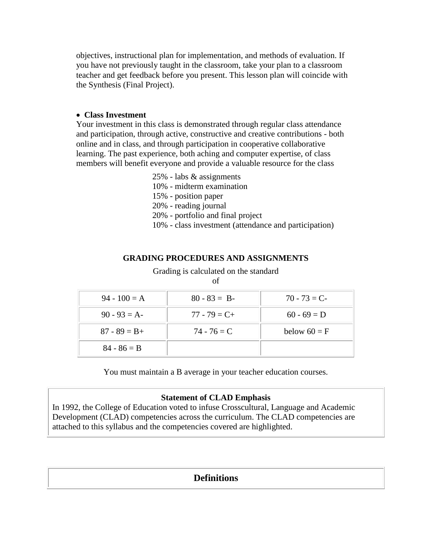objectives, instructional plan for implementation, and methods of evaluation. If you have not previously taught in the classroom, take your plan to a classroom teacher and get feedback before you present. This lesson plan will coincide with the Synthesis (Final Project).

#### • **Class Investment**

Your investment in this class is demonstrated through regular class attendance and participation, through active, constructive and creative contributions - both online and in class, and through participation in cooperative collaborative learning. The past experience, both aching and computer expertise, of class members will benefit everyone and provide a valuable resource for the class

- 25% labs & assignments
- 10% midterm examination
- 15% position paper
- 20% reading journal
- 20% portfolio and final project
- 10% class investment (attendance and participation)

#### **GRADING PROCEDURES AND ASSIGNMENTS**

Grading is calculated on the standard

| $94 - 100 = A$  | $80 - 83 = B$   | $70 - 73 = C$  |
|-----------------|-----------------|----------------|
| $90 - 93 = A$   | $77 - 79 = C +$ | $60 - 69 = D$  |
| $87 - 89 = B +$ | $74 - 76 = C$   | below $60 = F$ |
| $84 - 86 = B$   |                 |                |

You must maintain a B average in your teacher education courses.

#### **Statement of CLAD Emphasis**

In 1992, the College of Education voted to infuse Crosscultural, Language and Academic Development (CLAD) competencies across the curriculum. The CLAD competencies are attached to this syllabus and the competencies covered are highlighted.

## **Definitions**